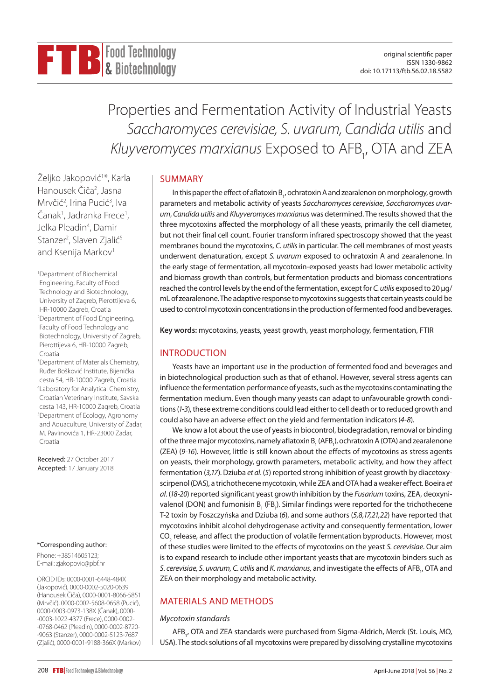# Properties and Fermentation Activity of Industrial Yeasts *Saccharomyces cerevisiae, S. uvarum, Candida utilis* and *Kluyveromyces marxianus* Exposed to AFB1 , OTA and ZEA

SUMMARY

In this paper the effect of aflatoxin B<sub>1</sub>, ochratoxin A and zearalenon on morphology, growth parameters and metabolic activity of yeasts *Saccharomyces cerevisiae*, *Saccharomyces uvarum*, *Candida utilis* and *Kluyveromyces marxianus* was determined. The results showed that the three mycotoxins affected the morphology of all these yeasts, primarily the cell diameter, but not their final cell count. Fourier transform infrared spectroscopy showed that the yeast membranes bound the mycotoxins, *C. utilis* in particular. The cell membranes of most yeasts underwent denaturation, except *S. uvarum* exposed to ochratoxin A and zearalenone. In the early stage of fermentation, all mycotoxin-exposed yeasts had lower metabolic activity and biomass growth than controls, but fermentation products and biomass concentrations reached the control levels by the end of the fermentation, except for *C. utilis* exposed to 20 µg/ mL of zearalenone. The adaptive response to mycotoxins suggests that certain yeasts could be used to control mycotoxin concentrations in the production of fermented food and beverages.

**Key words:** mycotoxins, yeasts, yeast growth, yeast morphology, fermentation, FTIR

# INTRODUCTION

Yeasts have an important use in the production of fermented food and beverages and in biotechnological production such as that of ethanol. However, several stress agents can influence the fermentation performance of yeasts, such as the mycotoxins contaminating the fermentation medium. Even though many yeasts can adapt to unfavourable growth conditions (*1-3*), these extreme conditions could lead either to cell death or to reduced growth and could also have an adverse effect on the yield and fermentation indicators (*4-8*).

We know a lot about the use of yeasts in biocontrol, biodegradation, removal or binding of the three major mycotoxins, namely aflatoxin B<sub>1</sub> (AFB<sub>1</sub>), ochratoxin A (OTA) and zearalenone (ZEA) (*9-16*). However, little is still known about the effects of mycotoxins as stress agents on yeasts, their morphology, growth parameters, metabolic activity, and how they affect fermentation (*3,17*). Dziuba *et al*. (*5*) reported strong inhibition of yeast growth by diacetoxyscirpenol (DAS), a trichothecene mycotoxin, while ZEA and OTA had a weaker effect. Boeira *et al*. (*18-20*) reported significant yeast growth inhibition by the *Fusarium* toxins, ZEA, deoxynivalenol (DON) and fumonisin B<sub>1</sub> (FB<sub>1</sub>). Similar findings were reported for the trichothecene T-2 toxin by Foszczyńska and Dziuba (*6*), and some authors (*5,8,17,21,22*) have reported that mycotoxins inhibit alcohol dehydrogenase activity and consequently fermentation, lower  $\mathrm{CO}_2$  release, and affect the production of volatile fermentation byproducts. However, most of these studies were limited to the effects of mycotoxins on the yeast *S. cerevisiae*. Our aim is to expand research to include other important yeasts that are mycotoxin binders such as S. *cerevisiae, S. uvarum, C. utilis* and *K. marxianus,* and investigate the effects of AFB<sub>1</sub>, OTA and ZEA on their morphology and metabolic activity.

# MATERIALS AND METHODS

# *Mycotoxin standards*

AFB<sub>1</sub>, OTA and ZEA standards were purchased from Sigma-Aldrich, Merck (St. Louis, MO, USA). The stock solutions of all mycotoxins were prepared by dissolving crystalline mycotoxins

Željko Jakopović<sup>1</sup>\*, Karla Hanousek Čiča<sup>2</sup>, Jasna Mrvčić<sup>2</sup>, Irina Pucić<sup>3</sup>, Iva Čanak<sup>1</sup>, Jadranka Frece<sup>1</sup>, Jelka Pleadin<sup>4</sup>, Damir Stanzer<sup>2</sup>, Slaven Zjalić<sup>5</sup> and Ksenija Markov<sup>1</sup>

1 Department of Biochemical Engineering, Faculty of Food Technology and Biotechnology, University of Zagreb, Pierottijeva 6, HR-10000 Zagreb, Croatia 2 Department of Food Engineering, Faculty of Food Technology and Biotechnology, University of Zagreb, Pierottijeva 6, HR-10000 Zagreb, Croatia

<sup>3</sup>Department of Materials Chemistry, Ruđer Bošković Institute, Bijenička cesta 54, HR-10000 Zagreb, Croatia 4 Laboratory for Analytical Chemistry, Croatian Veterinary Institute, Savska cesta 143, HR-10000 Zagreb, Croatia 5 Department of Ecology, Agronomy and Aquaculture, University of Zadar, M. Pavlinovića 1, HR-23000 Zadar, Croatia

Received: 27 October 2017 Accepted: 17 January 2018

# \*Corresponding author:

Phone: +38514605123; E-mail: [zjakopovic@pbf.hr](mailto:zjakopovic@pbf.hr)

ORCID IDs: 0000-0001-6448-484X (Jakopović), 0000-0002-5020-0639 (Hanousek Čiča), 0000-0001-8066-5851 (Mrvčić), 0000-0002-5608-0658 (Pucić), 0000-0003-0973-138X (Čanak), 0000- -0003-1022-4377 (Frece), 0000-0002- -0768-0462 (Pleadin), 0000-0002-8720- -9063 (Stanzer), 0000-0002-5123-7687 (Zjalić), 0000-0001-9188-366X (Markov)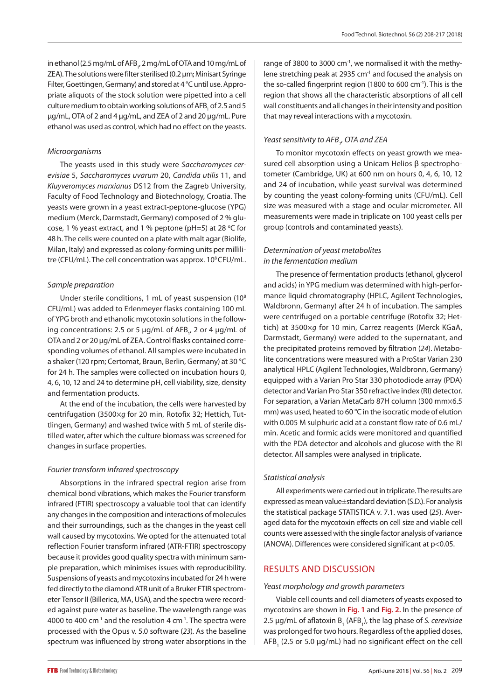in ethanol (2.5 mg/mL of AFB<sub>1</sub>, 2 mg/mL of OTA and 10 mg/mL of ZEA). The solutions were filter sterilised (0.2 µm; Minisart Syringe Filter, Goettingen, Germany) and stored at 4 °C until use. Appropriate aliquots of the stock solution were pipetted into a cell culture medium to obtain working solutions of AFB<sub>1</sub> of 2.5 and 5 µg/mL, OTA of 2 and 4 µg/mL, and ZEA of 2 and 20 µg/mL. Pure ethanol was used as control, which had no effect on the yeasts.

# *Microorganisms*

The yeasts used in this study were *Saccharomyces cerevisiae* 5, *Saccharomyces uvarum* 20, *Candida utilis* 11, and *Kluyveromyces marxianus* DS12 from the Zagreb University, Faculty of Food Technology and Biotechnology, Croatia. The yeasts were grown in a yeast extract-peptone-glucose (YPG) medium (Merck, Darmstadt, Germany) composed of 2 % glucose, 1 % yeast extract, and 1 % peptone (pH=5) at 28 °C for 48 h. The cells were counted on a plate with malt agar (Biolife, Milan, Italy) and expressed as colony-forming units per millilitre (CFU/mL). The cell concentration was approx. 10<sup>8</sup> CFU/mL.

# *Sample preparation*

Under sterile conditions, 1 mL of yeast suspension (10<sup>8</sup> CFU/mL) was added to Erlenmeyer flasks containing 100 mL of YPG broth and ethanolic mycotoxin solutions in the following concentrations: 2.5 or 5 μg/mL of AFB<sub>1</sub>, 2 or 4 μg/mL of OTA and 2 or 20 μg/mL of ZEA. Control flasks contained corresponding volumes of ethanol. All samples were incubated in a shaker (120 rpm; Certomat, Braun, Berlin, Germany) at 30 °C for 24 h. The samples were collected on incubation hours 0, 4, 6, 10, 12 and 24 to determine pH, cell viability, size, density and fermentation products.

At the end of the incubation, the cells were harvested by centrifugation (3500×*g* for 20 min, Rotofix 32; Hettich, Tuttlingen, Germany) and washed twice with 5 mL of sterile distilled water, after which the culture biomass was screened for changes in surface properties.

## *Fourier transform infrared spectroscopy*

Absorptions in the infrared spectral region arise from chemical bond vibrations, which makes the Fourier transform infrared (FTIR) spectroscopy a valuable tool that can identify any changes in the composition and interactions of molecules and their surroundings, such as the changes in the yeast cell wall caused by mycotoxins. We opted for the attenuated total reflection Fourier transform infrared (ATR-FTIR) spectroscopy because it provides good quality spectra with minimum sample preparation, which minimises issues with reproducibility. Suspensions of yeasts and mycotoxins incubated for 24 h were fed directly to the diamond ATR unit of a Bruker FTIR spectrometer Tensor II (Billerica, MA, USA), and the spectra were recorded against pure water as baseline. The wavelength range was 4000 to 400  $cm^{-1}$  and the resolution 4  $cm^{-1}$ . The spectra were processed with the Opus v. 5.0 software (*23*). As the baseline spectrum was influenced by strong water absorptions in the

range of 3800 to 3000 cm<sup>-1</sup>, we normalised it with the methylene stretching peak at 2935 cm<sup>-1</sup> and focused the analysis on the so-called fingerprint region (1800 to 600 cm<sup>-1</sup>). This is the region that shows all the characteristic absorptions of all cell wall constituents and all changes in their intensity and position that may reveal interactions with a mycotoxin.

# *Yeast sensitivity to AFB1 , OTA and ZEA*

To monitor mycotoxin effects on yeast growth we measured cell absorption using a Unicam Helios β spectrophotometer (Cambridge, UK) at 600 nm on hours 0, 4, 6, 10, 12 and 24 of incubation, while yeast survival was determined by counting the yeast colony-forming units (CFU/mL). Cell size was measured with a stage and ocular micrometer. All measurements were made in triplicate on 100 yeast cells per group (controls and contaminated yeasts).

# *Determination of yeast metabolites in the fermentation medium*

The presence of fermentation products (ethanol, glycerol and acids) in YPG medium was determined with high-performance liquid chromatography (HPLC, Agilent Technologies, Waldbronn, Germany) after 24 h of incubation. The samples were centrifuged on a portable centrifuge (Rotofix 32; Hettich) at 3500×*g* for 10 min, Carrez reagents (Merck KGaA, Darmstadt, Germany) were added to the supernatant, and the precipitated proteins removed by filtration (*24*). Metabolite concentrations were measured with a ProStar Varian 230 analytical HPLC (Agilent Technologies, Waldbronn, Germany) equipped with a Varian Pro Star 330 photodiode array (PDA) detector and Varian Pro Star 350 refractive index (RI) detector. For separation, a Varian MetaCarb 87H column (300 mm×6.5 mm) was used, heated to 60 °C in the isocratic mode of elution with 0.005 M sulphuric acid at a constant flow rate of 0.6 mL/ min. Acetic and formic acids were monitored and quantified with the PDA detector and alcohols and glucose with the RI detector. All samples were analysed in triplicate.

# *Statistical analysis*

All experiments were carried out in triplicate. The results are expressed as mean value±standard deviation (S.D.). For analysis the statistical package STATISTICA v. 7.1. was used (*25*). Averaged data for the mycotoxin effects on cell size and viable cell counts were assessed with the single factor analysis of variance (ANOVA). Differences were considered significant at p<0.05.

# RESULTS AND DISCUSSION

## *Yeast morphology and growth parameters*

Viable cell counts and cell diameters of yeasts exposed to mycotoxins are shown in **Fig. 1** and **Fig. 2.** In the presence of 2.5 μg/mL of aflatoxin B<sub>1</sub> (AFB<sub>1</sub>), the lag phase of *S. cerevisiae* was prolonged for two hours. Regardless of the applied doses,  $\mathsf{AFB}_1$  (2.5 or 5.0  $\mu$ g/mL) had no significant effect on the cell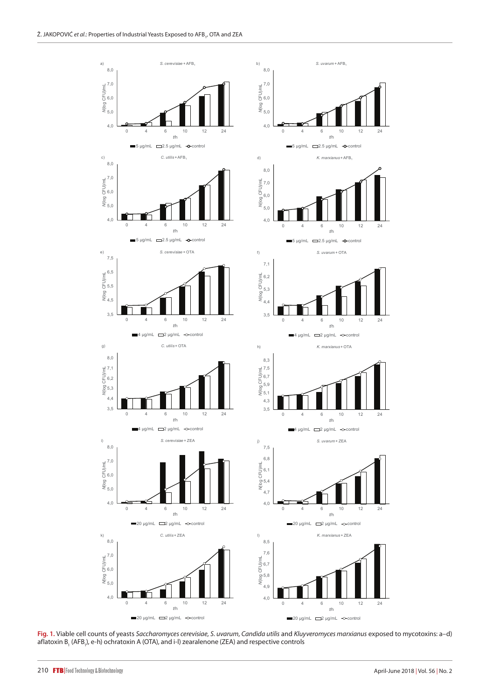

**Fig. 1.** Viable cell counts of yeasts *Saccharomyces cerevisiae*, *S. uvarum*, *Candida utilis* and *Kluyveromyces marxianus* exposed to mycotoxins: a–d) aflatoxin B<sub>1</sub> (AFB<sub>1</sub>), e-h) ochratoxin A (OTA), and i-l) zearalenone (ZEA) and respective controls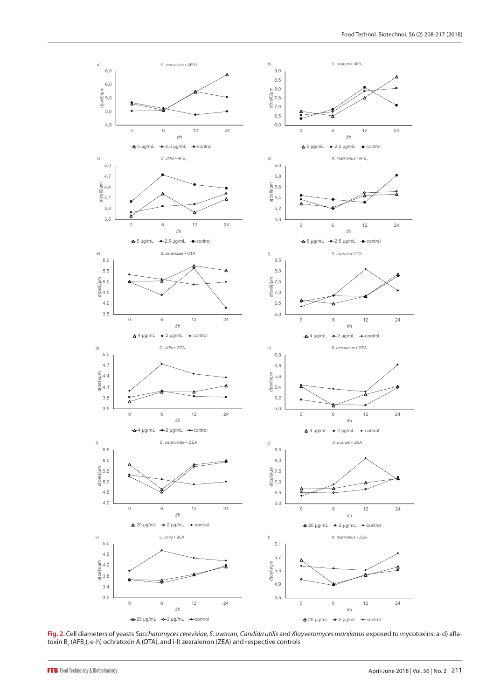

**Fig. 2.** Cell diameters of yeasts *Saccharomyces cerevisiae, S. uvarum, Candida utilis* and *Kluyveromyces marxianus* exposed to mycotoxins: a-d) aflatoxin B<sub>1</sub> (AFB<sub>1</sub>), e-h) ochratoxin A (OTA), and i-l) zearalenon (ZEA) and respective controls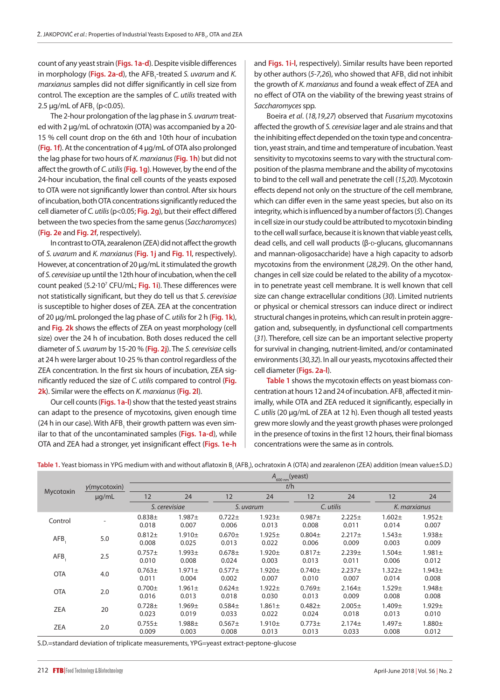count of any yeast strain (**Figs. 1a-d**). Despite visible differences in morphology (**Figs. 2a-d**), the AFB<sub>1</sub>-treated *S. uvarum* and *K*. *marxianus* samples did not differ significantly in cell size from control. The exception are the samples of *C. utilis* treated with 2.5  $\mu$ g/mL of AFB<sub>1</sub> (p<0.05).

The 2-hour prolongation of the lag phase in *S. uvarum* treated with 2 µg/mL of ochratoxin (OTA) was accompanied by a 20- 15 % cell count drop on the 6th and 10th hour of incubation (**Fig. 1f**). At the concentration of 4 µg/mL of OTA also prolonged the lag phase for two hours of *K. marxianus* (**Fig. 1h**) but did not affect the growth of *C. utilis* (**Fig. 1g**). However, by the end of the 24-hour incubation, the final cell counts of the yeasts exposed to OTA were not significantly lower than control. After six hours of incubation, both OTA concentrations significantly reduced the cell diameter of *C. utilis* (p<0.05; **Fig. 2g**), but their effect differed between the two species from the same genus (*Saccharomyces*) (**Fig. 2e** and **Fig. 2f**, respectively).

In contrast to OTA, zearalenon (ZEA) did not affect the growth of *S. uvarum* and *K. marxianus* (**Fig. 1j** and **Fig. 1l**, respectively). However, at concentration of 20 µg/mL it stimulated the growth of *S. cerevisiae* up until the 12th hour of incubation, when the cell count peaked (5.2·10<sup>7</sup> CFU/mL; Fig. 1i). These differences were not statistically significant, but they do tell us that *S. cerevisiae* is susceptible to higher doses of ZEA. ZEA at the concentration of 20 µg/mL prolonged the lag phase of *C. utilis* for 2 h (**Fig. 1k**), and **Fig. 2k** shows the effects of ZEA on yeast morphology (cell size) over the 24 h of incubation. Both doses reduced the cell diameter of *S. uvarum* by 15-20 % (**Fig. 2j**). The *S. cerevisiae* cells at 24 h were larger about 10-25 % than control regardless of the ZEA concentration. In the first six hours of incubation, ZEA significantly reduced the size of *C. utilis* compared to control (**Fig. 2k**). Similar were the effects on *K. marxianus* (**Fig. 2l**).

Our cell counts (**Figs. 1a-l**) show that the tested yeast strains can adapt to the presence of mycotoxins, given enough time (24 h in our case). With AFB<sub>1</sub> their growth pattern was even similar to that of the uncontaminated samples (**Figs. 1a-d**), while OTA and ZEA had a stronger, yet insignificant effect (**Figs. 1e-h** and **Figs. 1i-l**, respectively). Similar results have been reported by other authors (*5-7,26*), who showed that AFB<sub>1</sub> did not inhibit the growth of *K. marxianus* and found a weak effect of ZEA and no effect of OTA on the viability of the brewing yeast strains of *Saccharomyces* spp.

Boeira *et al*. (*18,19,27*) observed that *Fusarium* mycotoxins affected the growth of *S. cerevisiae* lager and ale strains and that the inhibiting effect depended on the toxin type and concentration, yeast strain, and time and temperature of incubation. Yeast sensitivity to mycotoxins seems to vary with the structural composition of the plasma membrane and the ability of mycotoxins to bind to the cell wall and penetrate the cell (*15,20*). Mycotoxin effects depend not only on the structure of the cell membrane, which can differ even in the same yeast species, but also on its integrity, which is influenced by a number of factors (*5*). Changes in cell size in our study could be attributed to mycotoxin binding to the cell wall surface, because it is known that viable yeast cells, dead cells, and cell wall products (β-D-glucans, glucomannans and mannan-oligosaccharide) have a high capacity to adsorb mycotoxins from the environment (*28,29*). On the other hand, changes in cell size could be related to the ability of a mycotoxin to penetrate yeast cell membrane. It is well known that cell size can change extracellular conditions (*30*). Limited nutrients or physical or chemical stressors can induce direct or indirect structural changes in proteins, which can result in protein aggregation and, subsequently, in dysfunctional cell compartments (*31*). Therefore, cell size can be an important selective property for survival in changing, nutrient-limited, and/or contaminated environments (*30,32*). In all our yeasts, mycotoxins affected their cell diameter (**Figs. 2a-l**).

**Table 1** shows the mycotoxin effects on yeast biomass concentration at hours 12 and 24 of incubation. AFB<sub>1</sub> affected it minimally, while OTA and ZEA reduced it significantly, especially in *C. utilis* (20 μg/mL of ZEA at 12 h). Even though all tested yeasts grew more slowly and the yeast growth phases were prolonged in the presence of toxins in the first 12 hours, their final biomass concentrations were the same as in controls.

**Table 1.** Yeast biomass in YPG medium with and without aflatoxin B<sub>1</sub> (AFB<sub>1</sub>), ochratoxin A (OTA) and zearalenon (ZEA) addition (mean value±S.D.)  $A_{_{600\,nm}}\text{(yeast)}$ 

|            | y(mycotoxin) | $n_{600\,nm}$ (yeast) |                      |                      |                      |                      |                             |                      |                      |
|------------|--------------|-----------------------|----------------------|----------------------|----------------------|----------------------|-----------------------------|----------------------|----------------------|
| Mycotoxin  |              | t/h                   |                      |                      |                      |                      |                             |                      |                      |
|            | $\mu$ g/mL   | 12                    | 24                   | 12                   | 24                   | 12                   | 24                          | 12                   | 24                   |
|            |              |                       | S. cerevisiae        |                      | S. uvarum            | C. utilis            |                             | K. marxianus         |                      |
| Control    |              | $0.838 +$<br>0.018    | $1.987 +$<br>0.007   | $0.722 \pm$<br>0.006 | $1.923 \pm$<br>0.013 | $0.987 +$<br>0.008   | $2.225 \pm$<br>0.011        | $1.602 +$<br>0.014   | $1.952 +$<br>0.007   |
| AFB.       | 5.0          | $0.812 +$<br>0.008    | 1.910±<br>0.025      | $0.670 \pm$<br>0.013 | $1.925 \pm$<br>0.022 | $0.804\pm$<br>0.006  | $2.217+$<br>0.009           | $1.543 +$<br>0.003   | $1.938 +$<br>0.009   |
| AFB.       | 2.5          | $0.757 +$<br>0.010    | $1.993 +$<br>0.008   | $0.678 +$<br>0.024   | $1.920 +$<br>0.003   | $0.817 +$<br>0.013   | 2.239 <sub>±</sub><br>0.011 | $1.504 \pm$<br>0.006 | $1.981 \pm$<br>0.012 |
| <b>OTA</b> | 4.0          | $0.763 \pm$<br>0.011  | $1.971 \pm$<br>0.004 | $0.577 \pm$<br>0.002 | $1.920 +$<br>0.007   | $0.740 \pm$<br>0.010 | $2.237+$<br>0.007           | $1.322 +$<br>0.014   | $1.943 \pm$<br>0.008 |
| <b>OTA</b> | 2.0          | $0.700 \pm$<br>0.016  | $1.961 \pm$<br>0.013 | $0.624 \pm$<br>0.018 | $1.922 +$<br>0.030   | $0.769 \pm$<br>0.013 | $2.164 \pm$<br>0.009        | $1.529 +$<br>0.008   | $1.948 \pm$<br>0.008 |
| <b>ZEA</b> | 20           | $0.728 +$<br>0.023    | $1.969 +$<br>0.019   | $0.584+$<br>0.033    | $1.861 \pm$<br>0.022 | $0.482 +$<br>0.024   | $2.005 \pm$<br>0.018        | $1.409 +$<br>0.013   | $1.929 \pm$<br>0.010 |
| ZEA        | 2.0          | $0.755 \pm$<br>0.009  | $1.988 +$<br>0.003   | $0.567 +$<br>0.008   | $1.910 +$<br>0.013   | $0.773 \pm$<br>0.013 | $2.174 \pm$<br>0.033        | $1.497 +$<br>0.008   | $1.880 +$<br>0.012   |

S.D.=standard deviation of triplicate measurements, YPG=yeast extract-peptone-glucose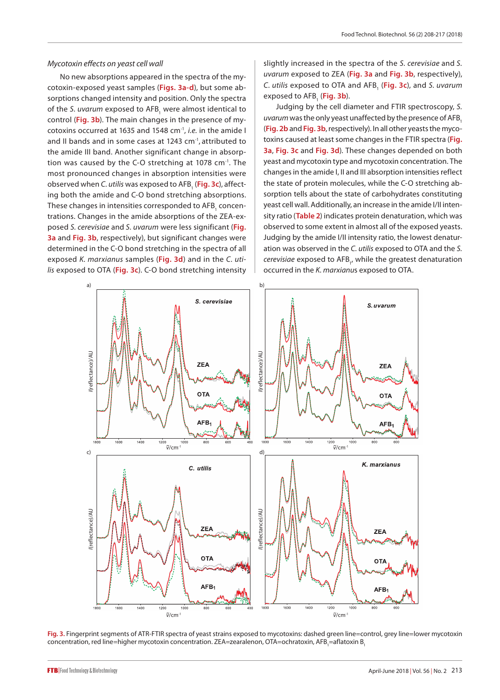#### *Mycotoxin effects on yeast cell wall*

No new absorptions appeared in the spectra of the mycotoxin-exposed yeast samples (**Figs. 3a-d**), but some absorptions changed intensity and position. Only the spectra of the *S. uvarum* exposed to AFB<sub>1</sub> were almost identical to control (**Fig. 3b**). The main changes in the presence of mycotoxins occurred at 1635 and 1548 cm-1, *i.e.* in the amide I and II bands and in some cases at 1243 cm<sup>-1</sup>, attributed to the amide III band. Another significant change in absorption was caused by the C-O stretching at 1078 cm<sup>-1</sup>. The most pronounced changes in absorption intensities were observed when *C. utilis* was exposed to AFB<sub>1</sub> (**Fig. 3c**), affecting both the amide and C-O bond stretching absorptions. These changes in intensities corresponded to AFB<sub>1</sub> concentrations. Changes in the amide absorptions of the ZEA-exposed *S. cerevisiae* and *S. uvarum* were less significant (**Fig. 3a** and **Fig. 3b**, respectively), but significant changes were determined in the C-O bond stretching in the spectra of all exposed *K. marxianus* samples (**Fig. 3d**) and in the *C. utilis* exposed to OTA (**Fig. 3c**). C-O bond stretching intensity

slightly increased in the spectra of the *S. cerevisiae* and *S. uvarum* exposed to ZEA (**Fig. 3a** and **Fig. 3b**, respectively), *C. utilis* exposed to OTA and AFB1 (**Fig. 3c**), and *S. uvarum* exposed to AFB<sub>1</sub> (**Fig. 3b**).

Judging by the cell diameter and FTIR spectroscopy, *S. uvarum* was the only yeast unaffected by the presence of AFB, (**Fig. 2b** and **Fig. 3b**, respectively). In all other yeasts the mycotoxins caused at least some changes in the FTIR spectra (**Fig. 3a**, **Fig. 3c** and **Fig. 3d**). These changes depended on both yeast and mycotoxin type and mycotoxin concentration. The changes in the amide I, II and III absorption intensities reflect the state of protein molecules, while the C-O stretching absorption tells about the state of carbohydrates constituting yeast cell wall. Additionally, an increase in the amide I/II intensity ratio (**Table 2**) indicates protein denaturation, which was observed to some extent in almost all of the exposed yeasts. Judging by the amide I/II intensity ratio, the lowest denaturation was observed in the *C. utilis* exposed to OTA and the *S. cerevisiae* exposed to AFB<sub>1</sub>, while the greatest denaturation occurred in the *K. marxianu*s exposed to OTA.



**Fig. 3.** Fingerprint segments of ATR-FTIR spectra of yeast strains exposed to mycotoxins: dashed green line=control, grey line=lower mycotoxin concentration, red line=higher mycotoxin concentration. ZEA=zearalenon, OTA=ochratoxin, AFB<sub>1</sub>=aflatoxin B<sub>1</sub>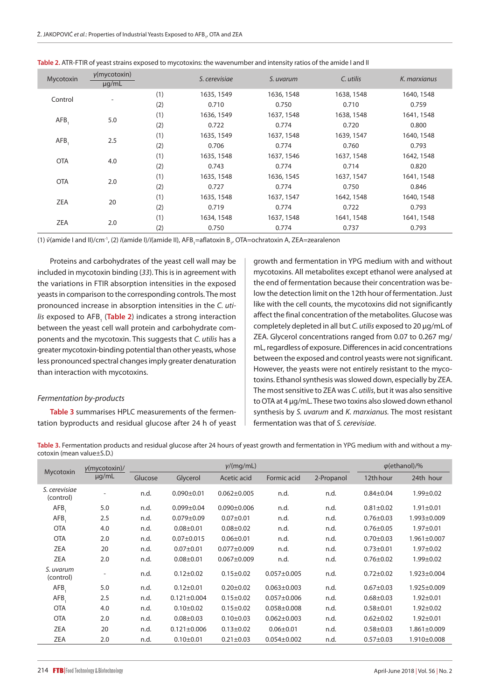| Mycotoxin  | $y$ (mycotoxin)<br>$\mu q/mL$ |     | S. cerevisiae | S. uvarum  | C. utilis  | K. marxianus |
|------------|-------------------------------|-----|---------------|------------|------------|--------------|
| Control    |                               | (1) | 1635, 1549    | 1636, 1548 | 1638, 1548 | 1640, 1548   |
|            | $\overline{\phantom{a}}$      | (2) | 0.710         | 0.750      | 0.710      | 0.759        |
|            | 5.0                           | (1) | 1636, 1549    | 1637, 1548 | 1638, 1548 | 1641, 1548   |
| AFB,       |                               | (2) | 0.722         | 0.774      | 0.720      | 0.800        |
|            |                               | (1) | 1635, 1549    | 1637, 1548 | 1639, 1547 | 1640, 1548   |
| AFB.       | 2.5                           | (2) | 0.706         | 0.774      | 0.760      | 0.793        |
| <b>OTA</b> | 4.0                           | (1) | 1635, 1548    | 1637, 1546 | 1637, 1548 | 1642, 1548   |
|            |                               | (2) | 0.743         | 0.774      | 0.714      | 0.820        |
| <b>OTA</b> |                               | (1) | 1635, 1548    | 1636, 1545 | 1637, 1547 | 1641, 1548   |
|            | 2.0                           | (2) | 0.727         | 0.774      | 0.750      | 0.846        |
| ZEA        |                               | (1) | 1635, 1548    | 1637, 1547 | 1642, 1548 | 1640, 1548   |
|            | 20                            | (2) | 0.719         | 0.774      | 0.722      | 0.793        |
|            |                               | (1) | 1634, 1548    | 1637, 1548 | 1641, 1548 | 1641, 1548   |
| ZEA        | 2.0                           | (2) | 0.750         | 0.774      | 0.737      | 0.793        |

|  |  |  | Table 2. ATR-FTIR of yeast strains exposed to mycotoxins: the wavenumber and intensity ratios of the amide I and II |
|--|--|--|---------------------------------------------------------------------------------------------------------------------|
|--|--|--|---------------------------------------------------------------------------------------------------------------------|

(1) ν̃(amide I and II)/cm<sup>-1</sup>, (2) /(amide I)//(amide II), AFB<sub>1</sub>=aflatoxin B<sub>1</sub>, OTA=ochratoxin A, ZEA=zearalenon

Proteins and carbohydrates of the yeast cell wall may be included in mycotoxin binding (*33*). This is in agreement with the variations in FTIR absorption intensities in the exposed yeasts in comparison to the corresponding controls. The most pronounced increase in absorption intensities in the *C. uti*lis exposed to AFB<sub>1</sub> (Table 2) indicates a strong interaction between the yeast cell wall protein and carbohydrate components and the mycotoxin. This suggests that *C. utilis* has a greater mycotoxin-binding potential than other yeasts, whose less pronounced spectral changes imply greater denaturation than interaction with mycotoxins.

#### *Fermentation by-products*

**Table 3** summarises HPLC measurements of the fermentation byproducts and residual glucose after 24 h of yeast growth and fermentation in YPG medium with and without mycotoxins. All metabolites except ethanol were analysed at the end of fermentation because their concentration was below the detection limit on the 12th hour of fermentation. Just like with the cell counts, the mycotoxins did not significantly affect the final concentration of the metabolites. Glucose was completely depleted in all but *C. utilis* exposed to 20 µg/mL of ZEA. Glycerol concentrations ranged from 0.07 to 0.267 mg/ mL, regardless of exposure. Differences in acid concentrations between the exposed and control yeasts were not significant. However, the yeasts were not entirely resistant to the mycotoxins. Ethanol synthesis was slowed down, especially by ZEA. The most sensitive to ZEA was *C. utilis*, but it was also sensitive to OTA at 4 µg/mL. These two toxins also slowed down ethanol synthesis by *S. uvarum* and *K. marxianus.* The most resistant fermentation was that of *S. cerevisiae*.

**Table 3.** Fermentation products and residual glucose after 24 hours of yeast growth and fermentation in YPG medium with and without a mycotoxin (mean value±S.D.)

|                            | $y$ (mycotoxin)/<br>$\mu q/mL$ |         |                   | $\varphi$ (ethanol)/% |                   |            |                 |                   |
|----------------------------|--------------------------------|---------|-------------------|-----------------------|-------------------|------------|-----------------|-------------------|
| Mycotoxin                  |                                | Glucose | Glycerol          | Acetic acid           | Formic acid       | 2-Propanol | 12th hour       | 24th hour         |
| S. cerevisiae<br>(control) |                                | n.d.    | $0.090 \pm 0.01$  | $0.062 \pm 0.005$     | n.d.              | n.d.       | $0.84 \pm 0.04$ | $1.99 \pm 0.02$   |
| AFB                        | 5.0                            | n.d.    | $0.099 + 0.04$    | $0.090 \pm 0.006$     | n.d.              | n.d.       | $0.81 \pm 0.02$ | $1.91 \pm 0.01$   |
| AFB,                       | 2.5                            | n.d.    | $0.079 \pm 0.09$  | $0.07 + 0.01$         | n.d.              | n.d.       | $0.76 \pm 0.03$ | 1.993±0.009       |
| <b>OTA</b>                 | 4.0                            | n.d.    | $0.08 + 0.01$     | $0.08 + 0.02$         | n.d.              | n.d.       | $0.76 \pm 0.05$ | $1.97 + 0.01$     |
| <b>OTA</b>                 | 2.0                            | n.d.    | $0.07 \pm 0.015$  | $0.06 \pm 0.01$       | n.d.              | n.d.       | $0.70 + 0.03$   | $1.961 \pm 0.007$ |
| <b>ZEA</b>                 | 20                             | n.d.    | $0.07 + 0.01$     | $0.077 \pm 0.009$     | n.d.              | n.d.       | $0.73 + 0.01$   | $1.97 + 0.02$     |
| <b>ZEA</b>                 | 2.0                            | n.d.    | $0.08 + 0.01$     | $0.067 \pm 0.009$     | n.d.              | n.d.       | $0.76 \pm 0.02$ | $1.99 \pm 0.02$   |
| S. uvarum<br>(control)     |                                | n.d.    | $0.12 \pm 0.02$   | $0.15 \pm 0.02$       | $0.057 + 0.005$   | n.d.       | $0.72 \pm 0.02$ | 1.923±0.004       |
| AFB                        | 5.0                            | n.d.    | $0.12 \pm 0.01$   | $0.20 \pm 0.02$       | $0.063 \pm 0.003$ | n.d.       | $0.67 + 0.03$   | 1.925±0.009       |
| AFB                        | 2.5                            | n.d.    | $0.121 \pm 0.004$ | $0.15 \pm 0.02$       | $0.057 \pm 0.006$ | n.d.       | $0.68 + 0.03$   | $1.92 + 0.01$     |
| <b>OTA</b>                 | 4.0                            | n.d.    | $0.10 \pm 0.02$   | $0.15 \pm 0.02$       | $0.058 \pm 0.008$ | n.d.       | $0.58 + 0.01$   | $1.92 \pm 0.02$   |
| <b>OTA</b>                 | 2.0                            | n.d.    | $0.08 + 0.03$     | $0.10 \pm 0.03$       | $0.062 \pm 0.003$ | n.d.       | $0.62 \pm 0.02$ | $1.92 \pm 0.01$   |
| <b>ZEA</b>                 | 20                             | n.d.    | $0.121 \pm 0.006$ | $0.13 \pm 0.02$       | $0.06 \pm 0.01$   | n.d.       | $0.58 + 0.03$   | 1.861±0.009       |
| <b>ZEA</b>                 | 2.0                            | n.d.    | $0.10 + 0.01$     | $0.21 \pm 0.03$       | $0.054 \pm 0.002$ | n.d.       | $0.57 + 0.03$   | 1.910±0.008       |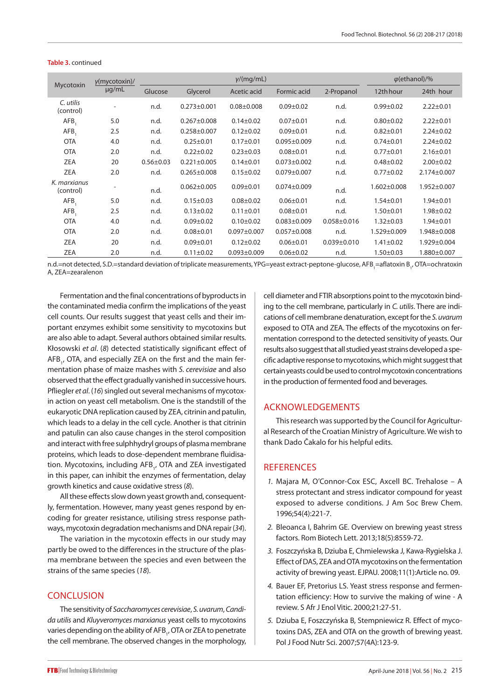| Mycotoxin                 | $y$ (mycotoxin)/<br>$\mu$ g/mL | y/(mq/mL)       |                   |                   |                   |                   | $\varphi$ (ethanol)/% |                   |
|---------------------------|--------------------------------|-----------------|-------------------|-------------------|-------------------|-------------------|-----------------------|-------------------|
|                           |                                | Glucose         | Glycerol          | Acetic acid       | Formic acid       | 2-Propanol        | 12th hour             | 24th hour         |
| C. utilis<br>(control)    |                                | n.d.            | $0.273 \pm 0.001$ | $0.08 \pm 0.008$  | $0.09 \pm 0.02$   | n.d.              | $0.99 + 0.02$         | $2.22 \pm 0.01$   |
| AFB,                      | 5.0                            | n.d.            | $0.267 \pm 0.008$ | $0.14 \pm 0.02$   | $0.07 + 0.01$     | n.d.              | $0.80 + 0.02$         | $2.22 \pm 0.01$   |
| AFB,                      | 2.5                            | n.d.            | $0.258 \pm 0.007$ | $0.12 \pm 0.02$   | $0.09 + 0.01$     | n.d.              | $0.82 + 0.01$         | $2.24 \pm 0.02$   |
| <b>OTA</b>                | 4.0                            | n.d.            | $0.25 \pm 0.01$   | $0.17 + 0.01$     | $0.095 \pm 0.009$ | n.d.              | $0.74 \pm 0.01$       | $2.24 \pm 0.02$   |
| <b>OTA</b>                | 2.0                            | n.d.            | $0.22 \pm 0.02$   | $0.23 \pm 0.03$   | $0.08 + 0.01$     | n.d.              | $0.77 + 0.01$         | $2.16 \pm 0.01$   |
| ZEA                       | 20                             | $0.56 \pm 0.03$ | $0.221 \pm 0.005$ | $0.14 \pm 0.01$   | $0.073 \pm 0.002$ | n.d.              | $0.48 + 0.02$         | $2.00 \pm 0.02$   |
| ZEA                       | 2.0                            | n.d.            | $0.265 \pm 0.008$ | $0.15 \pm 0.02$   | $0.079 + 0.007$   | n.d.              | $0.77 + 0.02$         | 2.174±0.007       |
| K. marxianus<br>(control) |                                | n.d.            | $0.062 \pm 0.005$ | $0.09 + 0.01$     | $0.074 \pm 0.009$ | n.d.              | $1.602 \pm 0.008$     | $1.952 \pm 0.007$ |
| AFB.                      | 5.0                            | n.d.            | $0.15 \pm 0.03$   | $0.08 \pm 0.02$   | $0.06 \pm 0.01$   | n.d.              | $1.54 \pm 0.01$       | $1.94 \pm 0.01$   |
| AFB.                      | 2.5                            | n.d.            | $0.13 \pm 0.02$   | $0.11 \pm 0.01$   | $0.08 + 0.01$     | n.d.              | $1.50 + 0.01$         | $1.98 + 0.02$     |
| <b>OTA</b>                | 4.0                            | n.d.            | $0.09 \pm 0.02$   | $0.10 \pm 0.02$   | $0.083 + 0.009$   | $0.058 \pm 0.016$ | $1.32 \pm 0.03$       | $1.94 \pm 0.01$   |
| <b>OTA</b>                | 2.0                            | n.d.            | $0.08 + 0.01$     | $0.097 + 0.007$   | $0.057 + 0.008$   | n.d.              | 1.529±0.009           | 1.948±0.008       |
| ZEA                       | 20                             | n.d.            | $0.09 + 0.01$     | $0.12 \pm 0.02$   | $0.06 \pm 0.01$   | $0.039 \pm 0.010$ | $1.41 \pm 0.02$       | 1.929±0.004       |
| ZEA                       | 2.0                            | n.d.            | $0.11 \pm 0.02$   | $0.093 \pm 0.009$ | $0.06 \pm 0.02$   | n.d.              | $1.50 \pm 0.03$       | 1.880±0.007       |

#### **Table 3.** continued

n.d.=not detected, S.D.=standard deviation of triplicate measurements, YPG=yeast extract-peptone-glucose, AFB<sub>1</sub>=aflatoxin B<sub>1</sub>, OTA=ochratoxin A, ZEA=zearalenon

Fermentation and the final concentrations of byproducts in the contaminated media confirm the implications of the yeast cell counts. Our results suggest that yeast cells and their important enzymes exhibit some sensitivity to mycotoxins but are also able to adapt. Several authors obtained similar results. Kłosowski *et al*. (*8*) detected statistically significant effect of AFB<sub>1</sub>, OTA, and especially ZEA on the first and the main fermentation phase of maize mashes with *S. cerevisiae* and also observed that the effect gradually vanished in successive hours. Pfliegler *et al*. (*16*) singled out several mechanisms of mycotoxin action on yeast cell metabolism. One is the standstill of the eukaryotic DNA replication caused by ZEA, citrinin and patulin, which leads to a delay in the cell cycle. Another is that citrinin and patulin can also cause changes in the sterol composition and interact with free sulphhydryl groups of plasma membrane proteins, which leads to dose-dependent membrane fluidisation. Mycotoxins, including AFB<sub>1</sub>, OTA and ZEA investigated in this paper, can inhibit the enzymes of fermentation, delay growth kinetics and cause oxidative stress (*8*).

All these effects slow down yeast growth and, consequently, fermentation. However, many yeast genes respond by encoding for greater resistance, utilising stress response pathways, mycotoxin degradation mechanisms and DNA repair (*34*).

The variation in the mycotoxin effects in our study may partly be owed to the differences in the structure of the plasma membrane between the species and even between the strains of the same species (*18*).

## **CONCLUSION**

The sensitivity of *Saccharomyces cerevisiae*, *S. uvarum*, *Candida utilis* and *Kluyveromyces marxianus* yeast cells to mycotoxins varies depending on the ability of AFB<sub>1</sub>, OTA or ZEA to penetrate the cell membrane. The observed changes in the morphology,

cell diameter and FTIR absorptions point to the mycotoxin binding to the cell membrane, particularly in *C. utilis*. There are indications of cell membrane denaturation, except for the *S. uvarum* exposed to OTA and ZEA. The effects of the mycotoxins on fermentation correspond to the detected sensitivity of yeasts. Our results also suggest that all studied yeast strains developed a specific adaptive response to mycotoxins, which might suggest that certain yeasts could be used to control mycotoxin concentrations in the production of fermented food and beverages.

# ACKNOWLEDGEMENTS

This research was supported by the Council for Agricultural Research of the Croatian Ministry of Agriculture. We wish to thank Dado Čakalo for his helpful edits.

# **REFERENCES**

- *1.* Majara M, O'Connor-Cox ESC, Axcell BC. Trehalose A stress protectant and stress indicator compound for yeast exposed to adverse conditions. J Am Soc Brew Chem. 1996;54(4):221-7.
- *2.* Bleoanca I, Bahrim GE. Overview on brewing yeast stress factors. Rom Biotech Lett. 2013;18(5):8559-72.
- *3.* Foszczyńska B, Dziuba E, Chmielewska J, Kawa-Rygielska J. Effect of DAS, ZEA and OTA mycotoxins on the fermentation activity of brewing yeast. EJPAU. 2008;11(1):Article no. 09.
- *4.* Bauer EF, Pretorius LS. Yeast stress response and fermentation efficiency: How to survive the making of wine - A review. S Afr J Enol Vitic. 2000;21:27-51.
- *5.* Dziuba E, Foszczyńska B, Stempniewicz R. Effect of mycotoxins DAS, ZEA and OTA on the growth of brewing yeast. Pol J Food Nutr Sci. 2007;57(4A):123-9.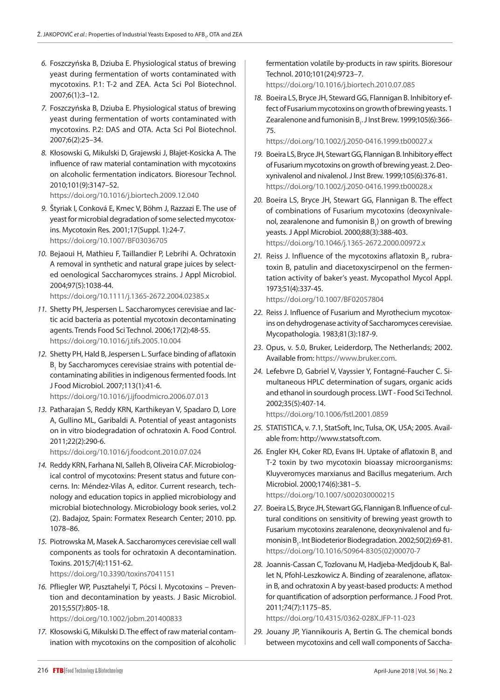- *6.* Foszczyńska B, Dziuba E. Physiological status of brewing yeast during fermentation of worts contaminated with mycotoxins. P.1: T-2 and ZEA. Acta Sci Pol Biotechnol. 2007;6(1):3–12.
- *7.* Foszczyńska B, Dziuba E. Physiological status of brewing yeast during fermentation of worts contaminated with mycotoxins. P.2: DAS and OTA. Acta Sci Pol Biotechnol. 2007;6(2):25–34.
- *8.* Kłosowski G, Mikulski D, Grajewski J, Błajet-Kosicka A. The influence of raw material contamination with mycotoxins on alcoholic fermentation indicators. Bioresour Technol. 2010;101(9):3147–52.

<https://doi.org/10.1016/j.biortech.2009.12.040>

- *9.* Štyriak I, Conková E, Kmec V, Böhm J, Razzazi E. The use of yeast for microbial degradation of some selected mycotoxins. Mycotoxin Res. 2001;17(Suppl. 1):24-7. <https://doi.org/10.1007/BF03036705>
- *10.* Bejaoui H, Mathieu F, Taillandier P, Lebrihi A. Ochratoxin A removal in synthetic and natural grape juices by selected oenological Saccharomyces strains. J Appl Microbiol. 2004;97(5):1038-44.

<https://doi.org/10.1111/j.1365-2672.2004.02385.x>

- *11.* Shetty PH, Jespersen L. Saccharomyces cerevisiae and lactic acid bacteria as potential mycotoxin decontaminating agents. Trends Food Sci Technol. 2006;17(2):48-55. <https://doi.org/10.1016/j.tifs.2005.10.004>
- *12.* Shetty PH, Hald B, Jespersen L. Surface binding of aflatoxin  ${\tt B}_1$  by Saccharomyces cerevisiae strains with potential decontaminating abilities in indigenous fermented foods. Int J Food Microbiol. 2007;113(1):41-6. <https://doi.org/10.1016/j.ijfoodmicro.2006.07.013>
- *13.* Patharajan S, Reddy KRN, Karthikeyan V, Spadaro D, Lore A, Gullino ML, Garibaldi A. Potential of yeast antagonists on in vitro biodegradation of ochratoxin A. Food Control. 2011;22(2):290-6.

https://doi.org/10.1016/j.foodcont.2010.07.024

- *14.* Reddy KRN, Farhana NI, Salleh B, Oliveira CAF. Microbiological control of mycotoxins: Present status and future concerns. In: Méndez-Vilas A, editor. Current research, technology and education topics in applied microbiology and microbial biotechnology. Microbiology book series, vol.2 (2). Badajoz, Spain: Formatex Research Center; 2010. pp. 1078–86.
- *15.* Piotrowska M, Masek A. Saccharomyces cerevisiae cell wall components as tools for ochratoxin A decontamination. Toxins. 2015;7(4):1151-62. https://doi.org/[10.3390/toxins7041151](http://dx.doi.org/10.3390/toxins7041151)

*16.* Pfliegler WP, Pusztahelyi T, Pócsi I. Mycotoxins – Prevention and decontamination by yeasts. J Basic Microbiol. 2015;55(7):805-18.

https://doi.org/10.1002/jobm.201400833

*17.* Kłosowski G, Mikulski D. The effect of raw material contamination with mycotoxins on the composition of alcoholic fermentation volatile by-products in raw spirits. Bioresour Technol. 2010;101(24):9723–7.

<https://doi.org/10.1016/j.biortech.2010.07.085>

*18.* Boeira LS, Bryce JH, Steward GG, Flannigan B. Inhibitory effect of Fusarium mycotoxins on growth of brewing yeasts. 1 Zearalenone and fumonisin B<sub>1</sub>. J Inst Brew. 1999;105(6):366-75.

<https://doi.org/10.1002/j.2050-0416.1999.tb00027.x>

- *19.* Boeira LS, Bryce JH, Stewart GG, Flannigan B. Inhibitory effect of Fusarium mycotoxins on growth of brewing yeast. 2. Deoxynivalenol and nivalenol. J Inst Brew. 1999;105(6):376-81. <https://doi.org/10.1002/j.2050-0416.1999.tb00028.x>
- *20.* Boeira LS, Bryce JH, Stewart GG, Flannigan B. The effect of combinations of Fusarium mycotoxins (deoxynivalenol, zearalenone and fumonisin  $B_1$ ) on growth of brewing yeasts. J Appl Microbiol. 2000;88(3):388-403. <https://doi.org/10.1046/j.1365-2672.2000.00972.x>
- 21. Reiss J. Influence of the mycotoxins aflatoxin B<sub>1</sub>, rubratoxin B, patulin and diacetoxyscirpenol on the fermentation activity of baker's yeast. Mycopathol Mycol Appl. 1973;51(4):337-45.

<https://doi.org/10.1007/BF02057804>

- *22.* Reiss J. Influence of Fusarium and Myrothecium mycotoxins on dehydrogenase activity of Saccharomyces cerevisiae. Mycopathologia. 1983;81(3):187-9.
- *23*. Opus, v. 5.0, Bruker, Leiderdorp, The Netherlands; 2002. Available from: https://www.bruker.com.
- *24.* Lefebvre D, Gabriel V, Vayssier Y, Fontagné-Faucher C. Simultaneous HPLC determination of sugars, organic acids and ethanol in sourdough process. LWT - Food Sci Technol. 2002;35(5):407-14.

<https://doi.org/10.1006/fstl.2001.0859>

- *25.* STATISTICA, v. 7.1, StatSoft, Inc, Tulsa, OK, USA; 2005. Available from: http://www.statsoft.com.
- 26. Engler KH, Coker RD, Evans IH. Uptake of aflatoxin B<sub>1</sub> and T-2 toxin by two mycotoxin bioassay microorganisms: Kluyveromyces marxianus and Bacillus megaterium. Arch Microbiol. 2000;174(6):381–5. <https://doi.org/10.1007/s002030000215>
- *27.* Boeira LS, Bryce JH, Stewart GG, Flannigan B. Influence of cultural conditions on sensitivity of brewing yeast growth to Fusarium mycotoxins zearalenone, deoxynivalenol and fumonisin B<sub>1</sub>. Int Biodeterior Biodegradation. 2002;50(2):69-81. [https://doi.org/10.1016/S0964-8305\(02\)00070-7](https://doi.org/10.1016/S0964-8305(02)00070-7)
- *28.* Joannis-Cassan C, Tozlovanu M, Hadjeba-Medjdoub K, Ballet N, Pfohl-Leszkowicz A. Binding of zearalenone, aflatoxin B, and ochratoxin A by yeast-based products: A method for quantification of adsorption performance. J Food Prot. 2011;74(7):1175–85.

<https://doi.org/10.4315/0362-028X.JFP-11-023>

*29.* Jouany JP, Yiannikouris A, Bertin G. The chemical bonds between mycotoxins and cell wall components of Saccha